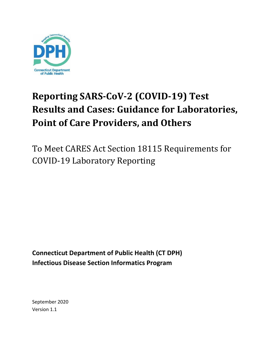

# **Reporting SARS-CoV-2 (COVID-19) Test Results and Cases: Guidance for Laboratories, Point of Care Providers, and Others**

To Meet CARES Act Section 18115 Requirements for COVID-19 Laboratory Reporting

**Connecticut Department of Public Health (CT DPH) Infectious Disease Section Informatics Program**

September 2020 Version 1.1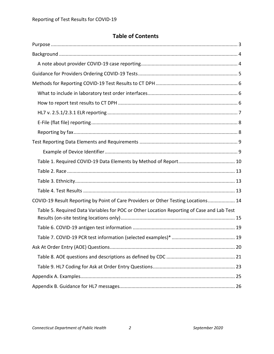# **Table of Contents**

| COVID-19 Result Reporting by Point of Care Providers or Other Testing Locations 14        |  |
|-------------------------------------------------------------------------------------------|--|
| Table 5. Required Data Variables for POC or Other Location Reporting of Case and Lab Test |  |
|                                                                                           |  |
|                                                                                           |  |
|                                                                                           |  |
|                                                                                           |  |
|                                                                                           |  |
|                                                                                           |  |
|                                                                                           |  |
|                                                                                           |  |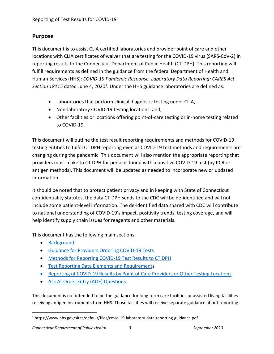## <span id="page-2-0"></span>**Purpose**

This document is to assist CLIA certified laboratories and provider point of care and other locations with CLIA certificates of waiver that are testing for the COVID-19 virus (SARS-CoV-2) in reporting results to the Connecticut Department of Public Health (CT DPH). This reporting will fulfill requirements as defined in the guidance from the federal Department of Health and Human Services (HHS): *COVID-19 Pandemic Response, Laboratory Data Reporting: CARES Act*  Section [1](#page-2-1)8115 dated June 4, 2020<sup>1</sup>. Under the HHS guidance laboratories are defined as:

- Laboratories that perform clinical diagnostic testing under CLIA,
- Non-laboratory COVID-19 testing locations, and,
- Other facilities or locations offering point-of-care testing or in-home testing related to COVID-19.

This document will outline the test result reporting requirements and methods for COVID-19 testing entities to fulfill CT DPH reporting even as COVID-19 test methods and requirements are changing during the pandemic. This document will also mention the appropriate reporting that providers must make to CT DPH for persons found with a positive COVID-19 test (by PCR or antigen methods). This document will be updated as needed to incorporate new or updated information.

It should be noted that to protect patient privacy and in keeping with State of Connecticut confidentiality statutes, the data CT DPH sends to the CDC will be de-identified and will not include some patient-level information. The de-identified data shared with CDC will contribute to national understanding of COVID-19's impact, positivity trends, testing coverage, and will help identify supply chain issues for reagents and other materials.

This document has the following main sections:

- [Background](#page-3-0)
- [Guidance for Providers Ordering COVID-19 Tests](#page-4-0)
- [Methods for Reporting COVID-19 Test Results to CT DPH](#page-5-0)
- [Test Reporting Data Elements and Requirements](#page-8-0)
- Reporting of COVID-19 Results by [Point of Care Providers or Other Testing Locations](#page-13-0)
- [Ask At Order Entry \(AOE\) Questions](#page-19-0)

This document is not intended to be the guidance for long term care facilities or assisted living facilities receiving antigen instruments from HHS. Those facilities will receive separate guidance about reporting.

<span id="page-2-1"></span> <sup>1</sup> https://www.hhs.gov/sites/default/files/covid-19-laboratory-data-reporting-guidance.pdf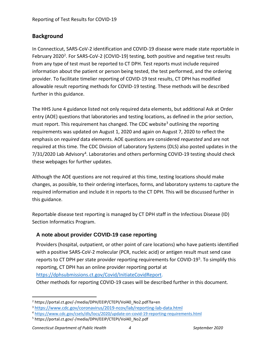# <span id="page-3-0"></span>**Background**

In Connecticut, SARS-CoV-2 identification and COVID-19 disease were made state reportable in February [2](#page-3-2)020<sup>2</sup>. For SARS-CoV-2 (COVID-19) testing, both positive and negative test results from any type of test must be reported to CT DPH. Test reports must include required information about the patient or person being tested, the test performed, and the ordering provider. To facilitate timelier reporting of COVID-19 test results, CT DPH has modified allowable result reporting methods for COVID-19 testing. These methods will be described further in this guidance.

The HHS June 4 guidance listed not only required data elements, but additional Ask at Order entry (AOE) questions that laboratories and testing locations, as defined in the prior section, must report. This requirement has changed. The CDC website<sup>[3](#page-3-3)</sup> outlining the reporting requirements was updated on August 1, 2020 and again on August 7, 2020 to reflect the emphasis on *required* data elements. AOE questions are considered *requested* and are not required at this time. The CDC Division of Laboratory Systems (DLS) also posted updates in the 7/31/2020 Lab Advisory<sup>[4](#page-3-4)</sup>. Laboratories and others performing COVID-19 testing should check these webpages for further updates.

Although the AOE questions are not required at this time, testing locations should make changes, as possible, to their ordering interfaces, forms, and laboratory systems to capture the required information and include it in reports to the CT DPH. This will be discussed further in this guidance.

Reportable disease test reporting is managed by CT DPH staff in the Infectious Disease (ID) Section Informatics Program.

## <span id="page-3-1"></span>**A note about provider COVID-19 case reporting**

Providers (hospital, outpatient, or other point of care locations) who have patients identified with a positive SARS-CoV-2 molecular (PCR, nucleic acid) or antigen result must send case reports to CT DPH per state provider reporting requirements for COVID-19<sup>5</sup>. To simplify this reporting, CT DPH has an online provider reporting portal at [https://dphsubmissions.ct.gov/Covid/InitiateCovidReport.](https://dphsubmissions.ct.gov/Covid/InitiateCovidReport)

Other methods for reporting COVID-19 cases will be described further in this document.

<span id="page-3-2"></span><sup>&</sup>lt;sup>2</sup> https://portal.ct.gov/-/media/DPH/EEIP/CTEPI/Vol40\_No2.pdf?la=en

<span id="page-3-3"></span><sup>3</sup> <https://www.cdc.gov/coronavirus/2019-ncov/lab/reporting-lab-data.html>

<span id="page-3-4"></span><sup>4</sup> <https://www.cdc.gov/csels/dls/locs/2020/update-on-covid-19-reporting-requirements.html>

<span id="page-3-5"></span><sup>5</sup> https://portal.ct.gov/-/media/DPH/EEIP/CTEPI/Vol40\_No2.pdf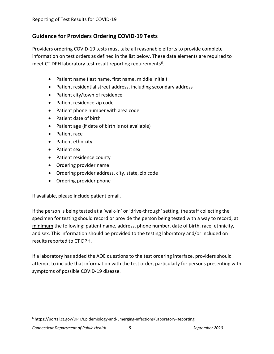# <span id="page-4-0"></span>**Guidance for Providers Ordering COVID-19 Tests**

Providers ordering COVID-19 tests must take all reasonable efforts to provide complete information on test orders as defined in the list below. These data elements are required to meet CT DPH laboratory test result reporting requirements<sup>6</sup>.

- Patient name (last name, first name, middle Initial)
- Patient residential street address, including secondary address
- Patient city/town of residence
- Patient residence zip code
- Patient phone number with area code
- Patient date of birth
- Patient age (if date of birth is not available)
- Patient race
- Patient ethnicity
- Patient sex
- Patient residence county
- Ordering provider name
- Ordering provider address, city, state, zip code
- Ordering provider phone

If available, please include patient email.

If the person is being tested at a 'walk-in' or 'drive-through' setting, the staff collecting the specimen for testing should record or provide the person being tested with a way to record, at minimum the following: patient name, address, phone number, date of birth, race, ethnicity, and sex. This information should be provided to the testing laboratory and/or included on results reported to CT DPH.

If a laboratory has added the AOE questions to the test ordering interface, providers should attempt to include that information with the test order, particularly for persons presenting with symptoms of possible COVID-19 disease.

<span id="page-4-1"></span> <sup>6</sup> https://portal.ct.gov/DPH/Epidemiology-and-Emerging-Infections/Laboratory-Reporting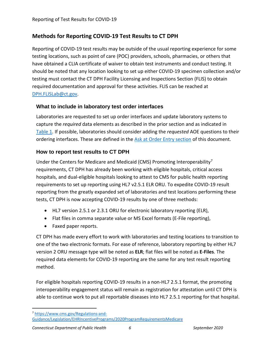# <span id="page-5-0"></span>**Methods for Reporting COVID-19 Test Results to CT DPH**

Reporting of COVID-19 test results may be outside of the usual reporting experience for some testing locations, such as point of care (POC) providers, schools, pharmacies, or others that have obtained a CLIA certificate of waiver to obtain test instruments and conduct testing. It should be noted that any location looking to set up either COVID-19 specimen collection and/or testing must contact the CT DPH Facility Licensing and Inspections Section (FLIS) to obtain required documentation and approval for these activities. FLIS can be reached at [DPH.FLISLab@ct.gov.](mailto:DPH.FLISLab@ct.gov)

## <span id="page-5-1"></span>**What to include in laboratory test order interfaces**

Laboratories are requested to set up order interfaces and update laboratory systems to capture the *required* data elements as described in the prior section and as indicated in [Table 1.](#page-9-0) If possible, laboratories should consider adding the *requested* AOE questions to their ordering interfaces. These are defined in the [Ask at Order Entry section](#page-19-0) of this document.

# <span id="page-5-2"></span>**How to report test results to CT DPH**

Under the Centers for Medicare and Medicaid (CMS) Promoting Interoperability<sup>[7](#page-5-3)</sup> requirements, CT DPH has already been working with eligible hospitals, critical access hospitals, and dual-eligible hospitals looking to attest to CMS for public health reporting requirements to set up reporting using HL7 v2.5.1 ELR ORU. To expedite COVID-19 result reporting from the greatly expanded set of laboratories and test locations performing these tests, CT DPH is now accepting COVID-19 results by one of three methods:

- HL7 version 2.5.1 or 2.3.1 ORU for electronic laboratory reporting (ELR),
- Flat files in comma separate value or MS Excel formats (E-File reporting),
- Faxed paper reports.

CT DPH has made every effort to work with laboratories and testing locations to transition to one of the two electronic formats. For ease of reference, laboratory reporting by either HL7 version 2 ORU message type will be noted as **ELR**; flat files will be noted as **E-Files**. The required data elements for COVID-19 reporting are the same for any test result reporting method.

For eligible hospitals reporting COVID-19 results in a non-HL7 2.5.1 format, the promoting interoperability engagement status will remain as registration for attestation until CT DPH is able to continue work to put all reportable diseases into HL7 2.5.1 reporting for that hospital.

<span id="page-5-3"></span> <sup>7</sup> [https://www.cms.gov/Regulations-and-](https://www.cms.gov/Regulations-and-Guidance/Legislation/EHRIncentivePrograms/2020ProgramRequirementsMedicare)

[Guidance/Legislation/EHRIncentivePrograms/2020ProgramRequirementsMedicare](https://www.cms.gov/Regulations-and-Guidance/Legislation/EHRIncentivePrograms/2020ProgramRequirementsMedicare)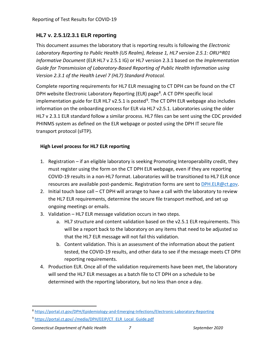# <span id="page-6-0"></span>**HL7 v. 2.5.1/2.3.1 ELR reporting**

This document assumes the laboratory that is reporting results is following the *Electronic Laboratory Reporting to Public Health (US Realm), Release 1, HL7 version 2.5.1: ORU^R01 Informative Document* (ELR HL7 v 2.5.1 IG) or HL7 version 2.3.1 based on the *Implementation Guide for Transmission of Laboratory-Based Reporting of Public Health Information using Version 2.3.1 of the Health Level 7 (HL7) Standard Protocol.*

Complete reporting requirements for HL7 ELR messaging to CT DPH can be found on the CT DPH website Electronic Laboratory Reporting (ELR) page<sup>[8](#page-6-1)</sup>. A CT DPH specific local implementation guide for ELR HL7 v2.5.1 is posted<sup>[9](#page-6-2)</sup>. The CT DPH ELR webpage also includes information on the onboarding process for ELR via HL7 v2.5.1. Laboratories using the older HL7 v 2.3.1 ELR standard follow a similar process. HL7 files can be sent using the CDC provided PHINMS system as defined on the ELR webpage or posted using the DPH IT secure file transport protocol (sFTP).

## **High Level process for HL7 ELR reporting**

- 1. Registration if an eligible laboratory is seeking Promoting Interoperability credit, they must register using the form on the CT DPH ELR webpage, even if they are reporting COVID-19 results in a non-HL7 format. Laboratories will be transitioned to HL7 ELR once resources are available post-pandemic. Registration forms are sent t[o DPH.ELR@ct.gov.](mailto:DPH.ELR@ct.gov)
- 2. Initial touch base call CT DPH will arrange to have a call with the laboratory to review the HL7 ELR requirements, determine the secure file transport method, and set up ongoing meetings or emails.
- 3. Validation HL7 ELR message validation occurs in two steps.
	- a. HL7 structure and content validation based on the v2.5.1 ELR requirements. This will be a report back to the laboratory on any items that need to be adjusted so that the HL7 ELR message will not fail this validation.
	- b. Content validation. This is an assessment of the information about the patient tested, the COVID-19 results, and other data to see if the message meets CT DPH reporting requirements.
- 4. Production ELR. Once all of the validation requirements have been met, the laboratory will send the HL7 ELR messages as a batch file to CT DPH on a schedule to be determined with the reporting laboratory, but no less than once a day.

<span id="page-6-1"></span> <sup>8</sup> <https://portal.ct.gov/DPH/Epidemiology-and-Emerging-Infections/Electronic-Laboratory-Reporting>

<span id="page-6-2"></span><sup>9</sup> [https://portal.ct.gov/-/media/DPH/EEIP/CT\\_ELR\\_Local\\_Guide.pdf](https://portal.ct.gov/-/media/DPH/EEIP/CT_ELR_Local_Guide.pdf)

*Connecticut Department of Public Health 7 September 2020*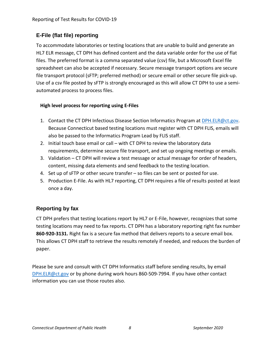# <span id="page-7-0"></span>**E-File (flat file) reporting**

To accommodate laboratories or testing locations that are unable to build and generate an HL7 ELR message, CT DPH has defined content and the data variable order for the use of flat files. The preferred format is a comma separated value (csv) file, but a Microsoft Excel file spreadsheet can also be accepted if necessary. Secure message transport options are secure file transport protocol (sFTP; preferred method) or secure email or other secure file pick-up. Use of a csv file posted by sFTP is strongly encouraged as this will allow CT DPH to use a semiautomated process to process files.

## **High level process for reporting using E-Files**

- 1. Contact the CT DPH Infectious Disease Section Informatics Program at [DPH.ELR@ct.gov.](mailto:DPH.ELR@ct.gov) Because Connecticut based testing locations must register with CT DPH FLIS, emails will also be passed to the Informatics Program Lead by FLIS staff.
- 2. Initial touch base email or call with CT DPH to review the laboratory data requirements, determine secure file transport, and set up ongoing meetings or emails.
- 3. Validation CT DPH will review a test message or actual message for order of headers, content, missing data elements and send feedback to the testing location.
- 4. Set up of sFTP or other secure transfer so files can be sent or posted for use.
- 5. Production E-File. As with HL7 reporting, CT DPH requires a file of results posted at least once a day.

# <span id="page-7-1"></span>**Reporting by fax**

CT DPH prefers that testing locations report by HL7 or E-File, however, recognizes that some testing locations may need to fax reports. CT DPH has a laboratory reporting right fax number **860-920-3131.** Right fax is a secure fax method that delivers reports to a secure email box. This allows CT DPH staff to retrieve the results remotely if needed, and reduces the burden of paper.

Please be sure and consult with CT DPH Informatics staff before sending results, by email [DPH.ELR@ct.gov](mailto:DPH.ELR@ct.gov) or by phone during work hours 860-509-7994. If you have other contact information you can use those routes also.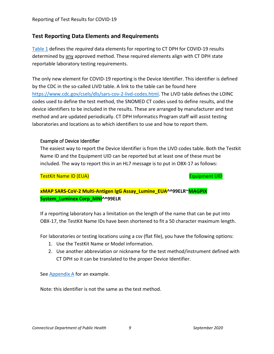## <span id="page-8-0"></span>**Test Reporting Data Elements and Requirements**

[Table 1](#page-9-0) defines the *required* data elements for reporting to CT DPH for COVID-19 results determined by any approved method. These required elements align with CT DPH state reportable laboratory testing requirements.

The only new element for COVID-19 reporting is the Device Identifier. This identifier is defined by the CDC in the so-called LIVD table. A link to the table can be found here [https://www.cdc.gov/csels/dls/sars-cov-2-livd-codes.html.](https://www.cdc.gov/csels/dls/sars-cov-2-livd-codes.html) The LIVD table defines the LOINC codes used to define the test method, the SNOMED CT codes used to define results, and the device identifiers to be included in the results. These are arranged by manufacturer and test method and are updated periodically. CT DPH Informatics Program staff will assist testing laboratories and locations as to which identifiers to use and how to report them.

#### <span id="page-8-1"></span>Example of Device Identifier

The easiest way to report the Device Identifier is from the LIVD codes table. Both the Testkit Name ID and the Equipment UID can be reported but at least one of these must be included. The way to report this in an HL7 message is to put in OBX-17 as follows:

TestKit Name ID (EUA) Equipment UID

**xMAP SARS-CoV-2 Multi-Antigen IgG Assay\_Lumine\_EUA^^99ELR~MAGPIX System\_Luminex Corp\_MNI^^99ELR**

If a reporting laboratory has a limitation on the length of the name that can be put into OBX-17, the TestKit Name IDs have been shortened to fit a 50 character maximum length.

For laboratories or testing locations using a csv (flat file), you have the following options:

- 1. Use the TestKit Name or Model information.
- 2. Use another abbreviation or nickname for the test method/instrument defined with CT DPH so it can be translated to the proper Device Identifier.

See [Appendix A](#page-24-0) for an example.

Note: this identifier is not the same as the test method.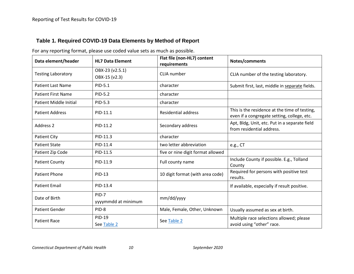## **Table 1. Required COVID-19 Data Elements by Method of Report**

<span id="page-9-0"></span>

| Data element/header           | <b>HL7 Data Element</b>          | Flat file (non-HL7) content<br>requirements | Notes/comments                                                                               |
|-------------------------------|----------------------------------|---------------------------------------------|----------------------------------------------------------------------------------------------|
| <b>Testing Laboratory</b>     | OBX-23 (v2.5.1)<br>OBX-15 (v2.3) | CLIA number                                 | CLIA number of the testing laboratory.                                                       |
| <b>Patient Last Name</b>      | PID-5.1                          | character                                   | Submit first, last, middle in separate fields.                                               |
| <b>Patient First Name</b>     | PID-5.2                          | character                                   |                                                                                              |
| <b>Patient Middle Initial</b> | PID-5.3                          | character                                   |                                                                                              |
| <b>Patient Address</b>        | PID-11.1                         | <b>Residential address</b>                  | This is the residence at the time of testing,<br>even if a congregate setting, college, etc. |
| <b>Address 2</b>              | PID-11.2                         | Secondary address                           | Apt, Bldg, Unit, etc. Put in a separate field<br>from residential address.                   |
| <b>Patient City</b>           | PID-11.3                         | character                                   |                                                                                              |
| <b>Patient State</b>          | PID-11.4                         | two letter abbreviation                     | e.g., CT                                                                                     |
| Patient Zip Code              | PID-11.5                         | five or nine digit format allowed           |                                                                                              |
| <b>Patient County</b>         | PID-11.9                         | Full county name                            | Include County if possible. E.g., Tolland<br>County                                          |
| <b>Patient Phone</b>          | <b>PID-13</b>                    | 10 digit format (with area code)            | Required for persons with positive test<br>results.                                          |
| <b>Patient Email</b>          | PID-13.4                         |                                             | If available, especially if result positive.                                                 |
| Date of Birth                 | PID-7<br>yyyymmdd at minimum     | mm/dd/yyyy                                  |                                                                                              |
| <b>Patient Gender</b>         | PID-8                            | Male, Female, Other, Unknown                | Usually assumed as sex at birth.                                                             |
| <b>Patient Race</b>           | PID-19<br>See Table 2            | See Table 2                                 | Multiple race selections allowed; please<br>avoid using "other" race.                        |

For any reporting format, please use coded value sets as much as possible.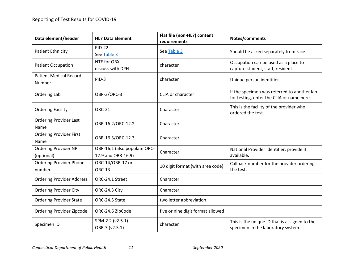| Data element/header                        | <b>HL7 Data Element</b>                            | Flat file (non-HL7) content<br>requirements | Notes/comments                                                                           |
|--------------------------------------------|----------------------------------------------------|---------------------------------------------|------------------------------------------------------------------------------------------|
| <b>Patient Ethnicity</b>                   | <b>PID-22</b><br>See Table 3                       | See Table 3                                 | Should be asked separately from race.                                                    |
| <b>Patient Occupation</b>                  | NTE for OBX<br>discuss with DPH                    | character                                   | Occupation can be used as a place to<br>capture student, staff, resident.                |
| <b>Patient Medical Record</b><br>Number    | PID-3                                              | character                                   | Unique person identifier.                                                                |
| Ordering Lab                               | OBR-3/ORC-3                                        | CLIA or character                           | If the specimen was referred to another lab<br>for testing, enter the CLIA or name here. |
| <b>Ordering Facility</b>                   | <b>ORC-21</b>                                      | Character                                   | This is the facility of the provider who<br>ordered the test.                            |
| <b>Ordering Provider Last</b><br>Name      | OBR-16.2/ORC-12.2                                  | Character                                   |                                                                                          |
| <b>Ordering Provider First</b><br>Name     | OBR-16.3/ORC-12.3                                  | Character                                   |                                                                                          |
| <b>Ordering Provider NPI</b><br>(optional) | OBR-16.1 (also populate ORC-<br>12.9 and OBR-16.9) | Character                                   | National Provider Identifier; provide if<br>available.                                   |
| <b>Ordering Provider Phone</b><br>number   | ORC-14/OBR-17 or<br><b>ORC-13</b>                  | 10 digit format (with area code)            | Callback number for the provider ordering<br>the test.                                   |
| <b>Ordering Provider Address</b>           | ORC-24.1 Street                                    | Character                                   |                                                                                          |
| <b>Ordering Provider City</b>              | ORC-24.3 City                                      | Character                                   |                                                                                          |
| <b>Ordering Provider State</b>             | ORC-24.5 State                                     | two letter abbreviation                     |                                                                                          |
| Ordering Provider Zipcode                  | ORC-24.6 ZipCode                                   | five or nine digit format allowed           |                                                                                          |
| Specimen ID                                | SPM-2.2 (v2.5.1)<br>OBR-3 (v2.3.1)                 | character                                   | This is the unique ID that is assigned to the<br>specimen in the laboratory system.      |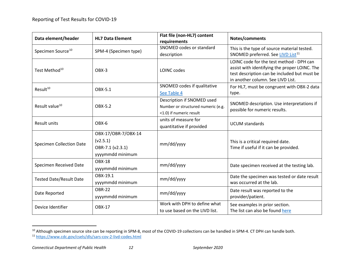<span id="page-11-1"></span><span id="page-11-0"></span>

| Data element/header             | <b>HL7 Data Element</b> | Flat file (non-HL7) content<br>requirements | Notes/comments                                                                                                                                                                 |
|---------------------------------|-------------------------|---------------------------------------------|--------------------------------------------------------------------------------------------------------------------------------------------------------------------------------|
| Specimen Source <sup>10</sup>   | SPM-4 (Specimen type)   | SNOMED codes or standard                    | This is the type of source material tested.                                                                                                                                    |
|                                 |                         | description                                 | SNOMED preferred. See LIVD List <sup>11</sup>                                                                                                                                  |
| Test Method <sup>10</sup>       | OBX-3                   | LOINC codes                                 | LOINC code for the test method - DPH can<br>assist with identifying the proper LOINC. The<br>test description can be included but must be<br>in another column. See LIVD List. |
| Result <sup>10</sup>            | OBX-5.1                 | SNOMED codes if qualitative                 | For HL7, must be congruent with OBX-2 data                                                                                                                                     |
|                                 |                         | See Table 4                                 | type.                                                                                                                                                                          |
|                                 |                         | Description if SNOMED used                  | SNOMED description. Use interpretations if                                                                                                                                     |
| Result value <sup>10</sup>      | OBX-5.2                 | Number or structured numeric (e.g.          | possible for numeric results.                                                                                                                                                  |
|                                 |                         | <1.0) if numeric result                     |                                                                                                                                                                                |
| Result units                    | OBX-6                   | units of measure for                        | <b>UCUM</b> standards                                                                                                                                                          |
|                                 |                         | quantitative if provided                    |                                                                                                                                                                                |
|                                 | OBX-17/OBR-7/OBX-14     |                                             |                                                                                                                                                                                |
| <b>Specimen Collection Date</b> | (v2.5.1)                | mm/dd/yyyy                                  | This is a critical required date.<br>Time if useful if it can be provided.                                                                                                     |
|                                 | OBR-7.1 (v2.3.1)        |                                             |                                                                                                                                                                                |
|                                 | yyyymmdd minimum        |                                             |                                                                                                                                                                                |
| Specimen Received Date          | <b>OBX-18</b>           | mm/dd/yyyy                                  |                                                                                                                                                                                |
|                                 | yyyymmdd minimum        |                                             | Date specimen received at the testing lab.                                                                                                                                     |
|                                 | OBX-19.1                | mm/dd/yyyy                                  | Date the specimen was tested or date result                                                                                                                                    |
| <b>Tested Date/Result Date</b>  | yyyymmdd minimum        |                                             | was occurred at the lab.                                                                                                                                                       |
| Date Reported                   | <b>OBR-22</b>           |                                             | Date result was reported to the                                                                                                                                                |
|                                 | yyyymmdd minimum        | mm/dd/yyyy                                  | provider/patient.                                                                                                                                                              |
| Device Identifier               | <b>OBX-17</b>           | Work with DPH to define what                | See examples in prior section.                                                                                                                                                 |
|                                 |                         | to use based on the LIVD list.              | The list can also be found here                                                                                                                                                |

<sup>10</sup> Although specimen source site can be reporting in SPM-8, most of the COVID-19 collections can be handled in SPM-4. CT DPH can handle both. <sup>11</sup> <https://www.cdc.gov/csels/dls/sars-cov-2-livd-codes.html>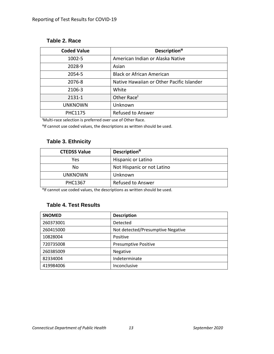#### <span id="page-12-3"></span><span id="page-12-0"></span>**Table 2. Race**

<span id="page-12-4"></span>

| <b>Coded Value</b> | Description <sup>#</sup>                  |  |
|--------------------|-------------------------------------------|--|
| 1002-5             | American Indian or Alaska Native          |  |
| 2028-9             | Asian                                     |  |
| 2054-5             | <b>Black or African American</b>          |  |
| 2076-8             | Native Hawaiian or Other Pacific Islander |  |
| 2106-3             | White                                     |  |
| 2131-1             | Other Race <sup>+</sup>                   |  |
| <b>UNKNOWN</b>     | Unknown                                   |  |
| <b>PHC1175</b>     | <b>Refused to Answer</b>                  |  |

<span id="page-12-5"></span>Ɨ Multi-race selection is preferred over use of Other Race.

ƗƗIf cannot use coded values, the descriptions as written should be used.

## <span id="page-12-1"></span>**Table 3. Ethnicity**

| <b>CTEDSS Value</b> | Description <sup>#</sup>   |
|---------------------|----------------------------|
| Yes                 | Hispanic or Latino         |
| No                  | Not Hispanic or not Latino |
| <b>UNKNOWN</b>      | Unknown                    |
| <b>PHC1367</b>      | <b>Refused to Answer</b>   |

<sup>#</sup>If cannot use coded values, the descriptions as written should be used.

#### <span id="page-12-2"></span>**Table 4. Test Results**

| <b>SNOMED</b> | <b>Description</b>                |
|---------------|-----------------------------------|
| 260373001     | Detected                          |
| 260415000     | Not detected/Presumptive Negative |
| 10828004      | Positive                          |
| 720735008     | <b>Presumptive Positive</b>       |
| 260385009     | Negative                          |
| 82334004      | Indeterminate                     |
| 419984006     | Inconclusive                      |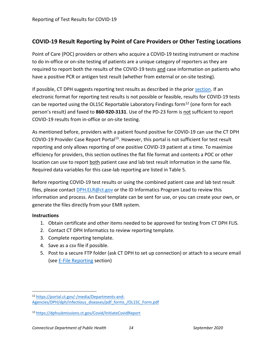# <span id="page-13-0"></span>**COVID-19 Result Reporting by Point of Care Providers or Other Testing Locations**

Point of Care (POC) providers or others who acquire a COVID-19 testing instrument or machine to do in-office or on-site testing of patients are a unique category of reporters as they are required to report both the results of the COVID-19 tests and case information on patients who have a positive PCR or antigen test result (whether from external or on-site testing).

If possible, CT DPH suggests reporting test results as described in the prior [section.](#page-5-2) If an electronic format for reporting test results is not possible or feasible, results for COVID-19 tests can be reported using the OL15C Reportable Laboratory Findings form<sup>[12](#page-13-1)</sup> (one form for each person's result) and faxed to **860-920-3131**. Use of the PD-23 form is not sufficient to report COVID-19 results from in-office or on-site testing.

As mentioned before, providers with a patient found positive for COVID-19 can use the CT DPH COVID-19 Provider Case Report Portal<sup>13</sup>. However, this portal is not sufficient for test result reporting and only allows reporting of one positive COVID-19 patient at a time. To maximize efficiency for providers, this section outlines the flat file format and contents a POC or other location can use to report both patient case and lab test result information in the same file. Required data variables for this case-lab reporting are listed in Table 5.

Before reporting COVID-19 test results or using the combined patient case and lab test result files, please contact [DPH.ELR@ct.gov](mailto:DPH.ELR@ct.gov) or the ID Informatics Program Lead to review this information and process. An Excel template can be sent for use, or you can create your own, or generate the files directly from your EMR system.

#### **Instructions**

- 1. Obtain certificate and other items needed to be approved for testing from CT DPH FLIS.
- 2. Contact CT DPH Informatics to review reporting template.
- 3. Complete reporting template.
- 4. Save as a csv file if possible.
- 5. Post to a secure FTP folder (ask CT DPH to set up connection) or attach to a secure email (see [E-File Reporting](#page-7-0) section)

<span id="page-13-1"></span> <sup>12</sup> [https://portal.ct.gov/-/media/Departments-and-](https://portal.ct.gov/-/media/Departments-and-Agencies/DPH/dph/infectious_diseases/pdf_forms_/OL15C_Form.pdf)[Agencies/DPH/dph/infectious\\_diseases/pdf\\_forms\\_/OL15C\\_Form.pdf](https://portal.ct.gov/-/media/Departments-and-Agencies/DPH/dph/infectious_diseases/pdf_forms_/OL15C_Form.pdf)

<span id="page-13-2"></span><sup>13</sup> <https://dphsubmissions.ct.gov/Covid/InitiateCovidReport>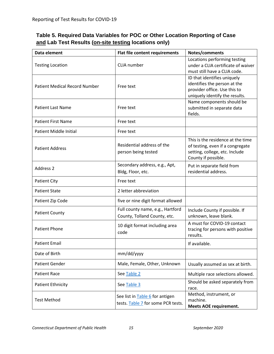<span id="page-14-0"></span>

| Table 5. Required Data Variables for POC or Other Location Reporting of Case |
|------------------------------------------------------------------------------|
| and Lab Test Results (on-site testing locations only)                        |

| Data element                         | Flat file content requirements                                        | Notes/comments                                                                                                                 |
|--------------------------------------|-----------------------------------------------------------------------|--------------------------------------------------------------------------------------------------------------------------------|
| <b>Testing Location</b>              | CLIA number                                                           | Locations performing testing<br>under a CLIA certificate of waiver<br>must still have a CLIA code.                             |
| <b>Patient Medical Record Number</b> | Free text                                                             | ID that identifies uniquely<br>identifies the person at the<br>provider office. Use this to<br>uniquely identify the results.  |
| <b>Patient Last Name</b>             | Free text                                                             | Name components should be<br>submitted in separate data<br>fields.                                                             |
| <b>Patient First Name</b>            | Free text                                                             |                                                                                                                                |
| Patient Middle Initial               | Free text                                                             |                                                                                                                                |
| <b>Patient Address</b>               | Residential address of the<br>person being tested                     | This is the residence at the time<br>of testing, even if a congregate<br>setting, college, etc. Include<br>County if possible. |
| Address 2                            | Secondary address, e.g., Apt,<br>Bldg, Floor, etc.                    | Put in separate field from<br>residential address.                                                                             |
| <b>Patient City</b>                  | Free text                                                             |                                                                                                                                |
| <b>Patient State</b>                 | 2 letter abbreviation                                                 |                                                                                                                                |
| Patient Zip Code                     | five or nine digit format allowed                                     |                                                                                                                                |
| <b>Patient County</b>                | Full county name, e.g., Hartford<br>County, Tolland County, etc.      | Include County if possible. If<br>unknown, leave blank.                                                                        |
| <b>Patient Phone</b>                 | 10 digit format including area<br>code                                | A must for COVID-19 contact<br>tracing for persons with positive<br>results.                                                   |
| <b>Patient Email</b>                 |                                                                       | If available.                                                                                                                  |
| Date of Birth                        | mm/dd/yyyy                                                            |                                                                                                                                |
| <b>Patient Gender</b>                | Male, Female, Other, Unknown                                          | Usually assumed as sex at birth.                                                                                               |
| <b>Patient Race</b>                  | See Table 2                                                           | Multiple race selections allowed.                                                                                              |
| <b>Patient Ethnicity</b>             | See Table 3                                                           | Should be asked separately from<br>race.                                                                                       |
| <b>Test Method</b>                   | See list in Table 6 for antigen<br>tests. Table 7 for some PCR tests. | Method, instrument, or<br>machine.<br><b>Meets AOE requirement.</b>                                                            |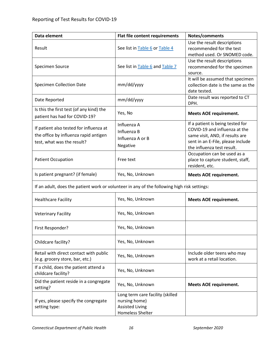| Data element                                                                                                   | Flat file content requirements                                                                         | Notes/comments                                                                                                                                                                                         |
|----------------------------------------------------------------------------------------------------------------|--------------------------------------------------------------------------------------------------------|--------------------------------------------------------------------------------------------------------------------------------------------------------------------------------------------------------|
| Result                                                                                                         | See list in Table 6 or Table 4                                                                         | Use the result descriptions<br>recommended for the test<br>method used. Or SNOMED code.                                                                                                                |
| Specimen Source                                                                                                | See list in Table 6 and Table 7                                                                        | Use the result descriptions<br>recommended for the specimen<br>source.                                                                                                                                 |
| <b>Specimen Collection Date</b>                                                                                | mm/dd/yyyy                                                                                             | It will be assumed that specimen<br>collection date is the same as the<br>date tested.                                                                                                                 |
| Date Reported                                                                                                  | mm/dd/yyyy                                                                                             | Date result was reported to CT<br>DPH.                                                                                                                                                                 |
| Is this the first test (of any kind) the<br>patient has had for COVID-19?                                      | Yes, No                                                                                                | <b>Meets AOE requirement.</b>                                                                                                                                                                          |
| If patient also tested for influenza at<br>the office by influenza rapid antigen<br>test, what was the result? | Influenza A<br>Influenza B<br>Influenza A or B<br>Negative                                             | If a patient is being tested for<br>COVID-19 and influenza at the<br>same visit, AND, if results are<br>sent in an E-File, please include<br>the influenza test result.<br>Occupation can be used as a |
| <b>Patient Occupation</b>                                                                                      | Free text                                                                                              | place to capture student, staff,<br>resident, etc.                                                                                                                                                     |
| Is patient pregnant? (if female)                                                                               | Yes, No, Unknown                                                                                       | <b>Meets AOE requirement.</b>                                                                                                                                                                          |
| If an adult, does the patient work or volunteer in any of the following high risk settings:                    |                                                                                                        |                                                                                                                                                                                                        |
| <b>Healthcare Facility</b>                                                                                     | Yes, No, Unknown                                                                                       | <b>Meets AOE requirement.</b>                                                                                                                                                                          |
| <b>Veterinary Facility</b>                                                                                     | Yes, No, Unknown                                                                                       |                                                                                                                                                                                                        |
| First Responder?                                                                                               | Yes, No, Unknown                                                                                       |                                                                                                                                                                                                        |
| Childcare facility?                                                                                            | Yes, No, Unknown                                                                                       |                                                                                                                                                                                                        |
| Retail with direct contact with public<br>(e.g. grocery store, bar, etc.)                                      | Yes, No, Unknown                                                                                       | Include older teens who may<br>work at a retail location.                                                                                                                                              |
| If a child, does the patient attend a<br>childcare facility?                                                   | Yes, No, Unknown                                                                                       |                                                                                                                                                                                                        |
| Did the patient reside in a congregate<br>setting?                                                             | Yes, No, Unknown                                                                                       | <b>Meets AOE requirement.</b>                                                                                                                                                                          |
| If yes, please specify the congregate<br>setting type:                                                         | Long term care facility (skilled<br>nursing home)<br><b>Assisted Living</b><br><b>Homeless Shelter</b> |                                                                                                                                                                                                        |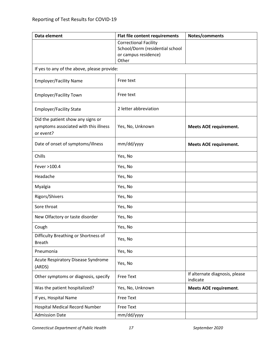| Data element                                                                            | Flat file content requirements                          | Notes/comments                             |
|-----------------------------------------------------------------------------------------|---------------------------------------------------------|--------------------------------------------|
|                                                                                         | <b>Correctional Facility</b>                            |                                            |
|                                                                                         | School/Dorm (residential school<br>or campus residence) |                                            |
|                                                                                         | Other                                                   |                                            |
| If yes to any of the above, please provide:                                             |                                                         |                                            |
| <b>Employer/Facility Name</b>                                                           | Free text                                               |                                            |
| <b>Employer/Facility Town</b>                                                           | Free text                                               |                                            |
| <b>Employer/Facility State</b>                                                          | 2 letter abbreviation                                   |                                            |
| Did the patient show any signs or<br>symptoms associated with this illness<br>or event? | Yes, No, Unknown                                        | <b>Meets AOE requirement.</b>              |
| Date of onset of symptoms/illness                                                       | mm/dd/yyyy                                              | <b>Meets AOE requirement.</b>              |
| Chills                                                                                  | Yes, No                                                 |                                            |
| Fever >100.4                                                                            | Yes, No                                                 |                                            |
| Headache                                                                                | Yes, No                                                 |                                            |
| Myalgia                                                                                 | Yes, No                                                 |                                            |
| Rigors/Shivers                                                                          | Yes, No                                                 |                                            |
| Sore throat                                                                             | Yes, No                                                 |                                            |
| New Olfactory or taste disorder                                                         | Yes, No                                                 |                                            |
| Cough                                                                                   | Yes, No                                                 |                                            |
| Difficulty Breathing or Shortness of<br><b>Breath</b>                                   | Yes, No                                                 |                                            |
| Pneumonia                                                                               | Yes, No                                                 |                                            |
| Acute Respiratory Disease Syndrome<br>(ARDS)                                            | Yes, No                                                 |                                            |
| Other symptoms or diagnosis, specify                                                    | Free Text                                               | If alternate diagnosis, please<br>indicate |
| Was the patient hospitalized?                                                           | Yes, No, Unknown                                        | <b>Meets AOE requirement.</b>              |
| If yes, Hospital Name                                                                   | <b>Free Text</b>                                        |                                            |
| <b>Hospital Medical Record Number</b>                                                   | <b>Free Text</b>                                        |                                            |
| <b>Admission Date</b>                                                                   | mm/dd/yyyy                                              |                                            |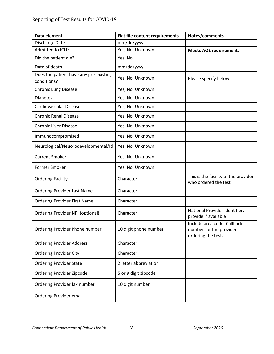<span id="page-17-0"></span>

| Data element                                          | Flat file content requirements | Notes/comments                                                               |
|-------------------------------------------------------|--------------------------------|------------------------------------------------------------------------------|
| Discharge Date                                        | mm/dd/yyyy                     |                                                                              |
| Admitted to ICU?                                      | Yes, No, Unknown               | <b>Meets AOE requirement.</b>                                                |
| Did the patient die?                                  | Yes, No                        |                                                                              |
| Date of death                                         | mm/dd/yyyy                     |                                                                              |
| Does the patient have any pre-existing<br>conditions? | Yes, No, Unknown               | Please specify below                                                         |
| <b>Chronic Lung Disease</b>                           | Yes, No, Unknown               |                                                                              |
| <b>Diabetes</b>                                       | Yes, No, Unknown               |                                                                              |
| Cardiovascular Disease                                | Yes, No, Unknown               |                                                                              |
| <b>Chronic Renal Disease</b>                          | Yes, No, Unknown               |                                                                              |
| <b>Chronic Liver Disease</b>                          | Yes, No, Unknown               |                                                                              |
| Immunocompromised                                     | Yes, No, Unknown               |                                                                              |
| Neurological/Neuorodevelopmental/Id                   | Yes, No, Unknown               |                                                                              |
| <b>Current Smoker</b>                                 | Yes, No, Unknown               |                                                                              |
| Former Smoker                                         | Yes, No, Unknown               |                                                                              |
| <b>Ordering Facility</b>                              | Character                      | This is the facility of the provider<br>who ordered the test.                |
| <b>Ordering Provider Last Name</b>                    | Character                      |                                                                              |
| <b>Ordering Provider First Name</b>                   | Character                      |                                                                              |
| Ordering Provider NPI (optional)                      | Character                      | National Provider Identifier;<br>provide if available                        |
| Ordering Provider Phone number                        | 10 digit phone number          | Include area code. Callback<br>number for the provider<br>ordering the test. |
| <b>Ordering Provider Address</b>                      | Character                      |                                                                              |
| <b>Ordering Provider City</b>                         | Character                      |                                                                              |
| <b>Ordering Provider State</b>                        | 2 letter abbreviation          |                                                                              |
| Ordering Provider Zipcode                             | 5 or 9 digit zipcode           |                                                                              |
| Ordering Provider fax number                          | 10 digit number                |                                                                              |
| <b>Ordering Provider email</b>                        |                                |                                                                              |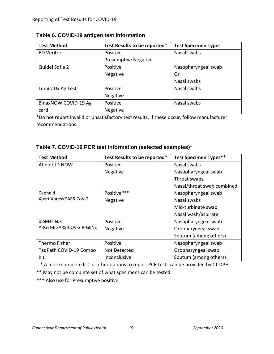| <b>Test Method</b>   | Test Results to be reported* | <b>Test Specimen Types</b> |
|----------------------|------------------------------|----------------------------|
| <b>BD Veritor</b>    | Positive                     | Nasal swabs                |
|                      | <b>Presumptive Negative</b>  |                            |
| Quidel Sofia 2       | Positive                     | Nasopharyngeal swab        |
|                      | Negative                     | . Or                       |
|                      |                              | Nasal swabs                |
| LumiraDx Ag Test     | Positive                     | Nasal swabs                |
|                      | Negative                     |                            |
| BinaxNOW COVID-19 Ag | Positive                     | Nasal swabs                |
| card                 | <b>Negative</b>              |                            |

<span id="page-18-0"></span>

| Table 6. COVID-19 antigen test information |  |
|--------------------------------------------|--|
|--------------------------------------------|--|

\*Do not report invalid or unsatisfactory test results. If these occur, follow manufacturer recommendations.

#### <span id="page-18-1"></span>**Table 7. COVID-19 PCR test information (selected examples)\***

| <b>Test Method</b>       | Test Results to be reported* | <b>Test Specimen Types**</b> |
|--------------------------|------------------------------|------------------------------|
| Abbott ID NOW            | Positive                     | Nasal swabs                  |
|                          | <b>Negative</b>              | Nasopharyngeal swab          |
|                          |                              | Throat swabs                 |
|                          |                              | Nasal/throat swab combined   |
| Cepheid                  | Positive***                  | Nasopharyngeal swab          |
| Xpert Xpress SARS-CoV-2  | <b>Negative</b>              | Nasal swabs                  |
|                          |                              | Mid-turbinate swab           |
|                          |                              | Nasal wash/aspirate          |
| bioMérieux               | Positive                     | Nasopharyngeal swab          |
| ARGENE SARS-COV-2 R-GENE | <b>Negative</b>              | Oropharyngeal swab           |
|                          |                              | Sputum (among others)        |
| <b>Thermo Fisher</b>     | Positive                     | Nasopharyngeal swab          |
| TaqPath COVID-19 Combo   | Not Detected                 | Oropharyngeal swab           |
| Kit                      | Inconclusive                 | Sputum (among others)        |

\* A more complete list or other options to report PCR tests can be provided by CT DPH.

\*\* May not be complete set of what specimens can be tested.

\*\*\* Also use for Presumptive positive.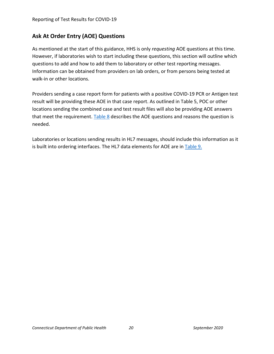# <span id="page-19-0"></span>**Ask At Order Entry (AOE) Questions**

As mentioned at the start of this guidance, HHS is only *requesting* AOE questions at this time. However, if laboratories wish to start including these questions, this section will outline which questions to add and how to add them to laboratory or other test reporting messages. Information can be obtained from providers on lab orders, or from persons being tested at walk-in or other locations.

Providers sending a case report form for patients with a positive COVID-19 PCR or Antigen test result will be providing these AOE in that case report. As outlined in Table 5, POC or other locations sending the combined case and test result files will also be providing AOE answers that meet the requirement. Table  $8$  describes the AOE questions and reasons the question is needed.

Laboratories or locations sending results in HL7 messages, should include this information as it is built into ordering interfaces. The HL7 data elements for AOE are in [Table 9.](#page-22-0)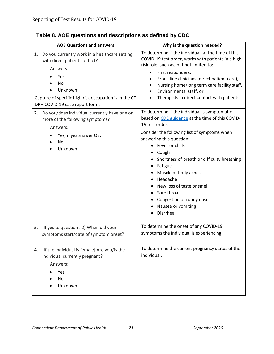| <b>AOE Questions and answers</b>                                                                                                                                                                                   | Why is the question needed?                                                                                                                                                                                                                                                                                                                                                                                                            |
|--------------------------------------------------------------------------------------------------------------------------------------------------------------------------------------------------------------------|----------------------------------------------------------------------------------------------------------------------------------------------------------------------------------------------------------------------------------------------------------------------------------------------------------------------------------------------------------------------------------------------------------------------------------------|
| Do you currently work in a healthcare setting<br>1.<br>with direct patient contact?<br>Answers:<br>Yes<br>No<br>Unknown<br>Capture of specific high risk occupation is in the CT<br>DPH COVID-19 case report form. | To determine if the individual, at the time of this<br>COVID-19 test order, works with patients in a high-<br>risk role, such as, but not limited to:<br>First responders,<br>Front-line clinicians (direct patient care),<br>Nursing home/long term care facility staff,<br>$\bullet$<br>Environmental staff, or,<br>$\bullet$<br>Therapists in direct contact with patients.                                                         |
| Do you/does individual currently have one or<br>2.<br>more of the following symptoms?<br>Answers:<br>Yes, if yes answer Q3.<br>No<br>Unknown                                                                       | To determine if the individual is symptomatic<br>based on CDC guidance at the time of this COVID-<br>19 test order.<br>Consider the following list of symptoms when<br>answering this question:<br>• Fever or chills<br>Cough<br>Shortness of breath or difficulty breathing<br>Fatigue<br>Muscle or body aches<br>Headache<br>New loss of taste or smell<br>Sore throat<br>Congestion or runny nose<br>Nausea or vomiting<br>Diarrhea |
| [If yes to question #2] When did your<br>3.<br>symptoms start/date of symptom onset?                                                                                                                               | To determine the onset of any COVID-19<br>symptoms the individual is experiencing.                                                                                                                                                                                                                                                                                                                                                     |
| [If the individual is female] Are you/is the<br>4.<br>individual currently pregnant?<br>Answers:<br>Yes<br>No<br>Unknown                                                                                           | To determine the current pregnancy status of the<br>individual.                                                                                                                                                                                                                                                                                                                                                                        |

# <span id="page-20-0"></span>**Table 8. AOE questions and descriptions as defined by CDC**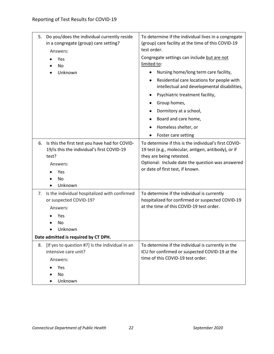| 5. | Do you/does the individual currently reside<br>in a congregate (group) care setting?<br>Answers:                                          | To determine if the individual lives in a congregate<br>(group) care facility at the time of this COVID-19<br>test order.                                                                                                        |
|----|-------------------------------------------------------------------------------------------------------------------------------------------|----------------------------------------------------------------------------------------------------------------------------------------------------------------------------------------------------------------------------------|
|    | Yes<br><b>No</b>                                                                                                                          | Congregate settings can include but are not<br>limited to:                                                                                                                                                                       |
|    | Unknown                                                                                                                                   | Nursing home/long term care facility,                                                                                                                                                                                            |
|    |                                                                                                                                           | Residential care locations for people with<br>intellectual and developmental disabilities,                                                                                                                                       |
|    |                                                                                                                                           | Psychiatric treatment facility,                                                                                                                                                                                                  |
|    |                                                                                                                                           | Group homes,                                                                                                                                                                                                                     |
|    |                                                                                                                                           | Dormitory at a school,                                                                                                                                                                                                           |
|    |                                                                                                                                           | Board and care home,                                                                                                                                                                                                             |
|    |                                                                                                                                           | Homeless shelter, or                                                                                                                                                                                                             |
|    |                                                                                                                                           | Foster care setting                                                                                                                                                                                                              |
| 6. | Is this the first test you have had for COVID-<br>19/is this the individual's first COVID-19<br>test?<br>Answers:<br>Yes<br>No<br>Unknown | To determine if this is the individual's first COVID-<br>19 test (e.g., molecular, antigen, antibody), or if<br>they are being retested.<br>Optional: Include date the question was answered<br>or date of first test, if known. |
| 7. | Is the individual hospitalized with confirmed<br>or suspected COVID-19?<br>Answers:<br>Yes<br>No<br>Unknown                               | To determine if the individual is currently<br>hospitalized for confirmed or suspected COVID-19<br>at the time of this COVID-19 test order.                                                                                      |
|    | Date admitted is required by CT DPH.                                                                                                      |                                                                                                                                                                                                                                  |
| 8. | [If yes to question #7] Is the individual in an<br>intensive care unit?                                                                   | To determine if the individual is currently in the<br>ICU for confirmed or suspected COVID-19 at the                                                                                                                             |
|    | Answers:                                                                                                                                  | time of this COVID-19 test order.                                                                                                                                                                                                |
|    | Yes                                                                                                                                       |                                                                                                                                                                                                                                  |
|    | No<br>Unknown                                                                                                                             |                                                                                                                                                                                                                                  |
|    |                                                                                                                                           |                                                                                                                                                                                                                                  |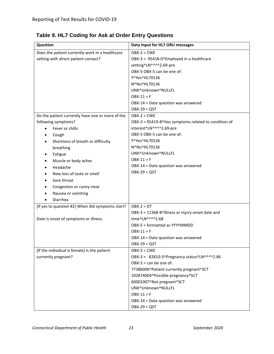| Question                                                                                                                                                                                                                                                                                                                                    | Data Input for HL7 ORU messages                                                                                                                                                                                                                                                                     |
|---------------------------------------------------------------------------------------------------------------------------------------------------------------------------------------------------------------------------------------------------------------------------------------------------------------------------------------------|-----------------------------------------------------------------------------------------------------------------------------------------------------------------------------------------------------------------------------------------------------------------------------------------------------|
| Does the patient currently work in a healthcare<br>setting with direct patient contact?                                                                                                                                                                                                                                                     | $OBX-2 = CWE$<br>OBX-3 = 95418-0^Employed in a healthcare<br>setting^LN^^^^2.69-pre<br>OBX-5 OBX-5 can be one of:<br>Y^Yes^HL70136<br>N^No^HL70136<br>UNK^Unknown^NULLFL<br>$OBX-11 = F$<br>OBX-14 = Date question was answered<br>$OBX-29 = QST$                                                   |
| Do the patient currently have one or more of the<br>following symptoms?<br>Fever or chills<br>Cough<br>Shortness of breath or difficulty<br>٠<br>breathing<br>Fatigue<br>٠<br>Muscle or body aches<br>Headache<br>New loss of taste or smell<br>Sore throat<br>$\bullet$<br>Congestion or runny nose<br>Nausea or vomiting<br>Diarrhea<br>٠ | $OBX-2 = CWE$<br>OBX-3 = 95419-8^Has symptoms related to condition of<br>interest^LN^^^^2.69-pre<br>OBX-5 OBX-5 can be one of:<br>Y^Yes^HL70136<br>N^No^HL70136<br>UNK^Unknown^NULLFL<br>$OBX-11 = F$<br>OBX-14 = Date question was answered<br>$OBX-29 = QST$                                      |
| [If yes to question #2] When did symptoms start?<br>Date is onset of symptoms or illness.                                                                                                                                                                                                                                                   | $OBX-2 = DT$<br>OBX-3 = 11368-8^Illness or injury onset date and<br>time^LN^^^^2.68<br>OBX-5 = formatted as YYYYMMDD<br>$DBX-11 = F$<br>OBX-14 = Date question was answered<br>$OBX-29 = QST$                                                                                                       |
| [If the individual is female] Is the patient<br>currently pregnant?                                                                                                                                                                                                                                                                         | $OBX-2 = CWE$<br>OBX-3 = 82810-3^Pregnancy status^LN^^^^2.86<br>$OBX-5 = can be one of:$<br>77386006^Patient currently pregnant^SCT<br>102874004^Possible pregnancy^SCT<br>60001007^Not pregnant^SCT<br>UNK^Unknown^NULLFL<br>$OBX-11 = F$<br>OBX-14 = Date question was answered<br>$OBX-29 = QST$ |

<span id="page-22-0"></span>**Table 9. HL7 Coding for Ask at Order Entry Questions**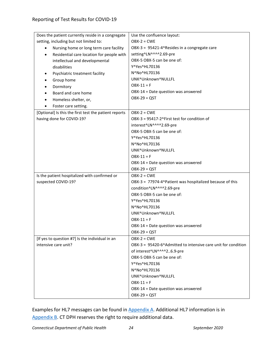| Does the patient currently reside in a congregate      | Use the confluence layout:                                    |  |
|--------------------------------------------------------|---------------------------------------------------------------|--|
| setting, including but not limited to:                 | $OBX-2 = CWE$                                                 |  |
| Nursing home or long term care facility<br>$\bullet$   | OBX-3 = 95421-4^Resides in a congregate care                  |  |
| Residential care location for people with<br>$\bullet$ | setting^LN^^^^2.69-pre                                        |  |
| intellectual and developmental                         | OBX-5 OBX-5 can be one of:                                    |  |
| disabilities                                           | Y^Yes^HL70136                                                 |  |
| Psychiatric treatment facility<br>$\bullet$            | N^No^HL70136                                                  |  |
| Group home<br>$\bullet$                                | UNK^Unknown^NULLFL                                            |  |
| Dormitory<br>$\bullet$                                 | $OBX-11 = F$                                                  |  |
| Board and care home                                    | OBX-14 = Date question was answered                           |  |
| Homeless shelter, or,                                  | $OBX-29 = QST$                                                |  |
| Foster care setting.<br>$\bullet$                      |                                                               |  |
| [Optional] Is this the first test the patient reports  | $OBX-2 = CWE$                                                 |  |
| having done for COVID-19?                              | OBX-3 = 95417-2^First test for condition of                   |  |
|                                                        | interest^LN^^^^2.69-pre                                       |  |
|                                                        | OBX-5 OBX-5 can be one of:                                    |  |
|                                                        | Y^Yes^HL70136                                                 |  |
|                                                        | N^No^HL70136                                                  |  |
|                                                        | UNK^Unknown^NULLFL                                            |  |
|                                                        | $OBX-11 = F$                                                  |  |
|                                                        | OBX-14 = Date question was answered                           |  |
|                                                        | $OBX-29 = QST$                                                |  |
| Is the patient hospitalized with confirmed or          | $OBX-2 = CWE$                                                 |  |
| suspected COVID-19?                                    | OBX-3 = 77974-4^Patient was hospitalized because of this      |  |
|                                                        | condition^LN^^^^2.69-pre                                      |  |
|                                                        | OBX-5 OBX-5 can be one of:                                    |  |
|                                                        | Y^Yes^HL70136                                                 |  |
|                                                        | N^No^HL70136                                                  |  |
|                                                        | UNK^Unknown^NULLFL                                            |  |
|                                                        | $OBX-11 = F$                                                  |  |
|                                                        | OBX-14 = Date question was answered                           |  |
|                                                        | $OBX-29 = QST$                                                |  |
| [If yes to question #7] Is the individual in an        | $OBX-2 = CWE$                                                 |  |
| intensive care unit?                                   | OBX-3 = 95420-6^Admitted to intensive care unit for condition |  |
|                                                        | of interest^LN^^^^26.9-pre                                    |  |
|                                                        | OBX-5 OBX-5 can be one of:                                    |  |
|                                                        | Y^Yes^HL70136                                                 |  |
|                                                        | N^No^HL70136                                                  |  |
|                                                        |                                                               |  |
|                                                        | UNK^Unknown^NULLFL                                            |  |
|                                                        | $OBX-11 = F$                                                  |  |
|                                                        | OBX-14 = Date question was answered                           |  |

Examples for HL7 messages can be found in [Appendix A.](#page-24-0) Additional HL7 information is in [Appendix B.](#page-25-0) CT DPH reserves the right to require additional data.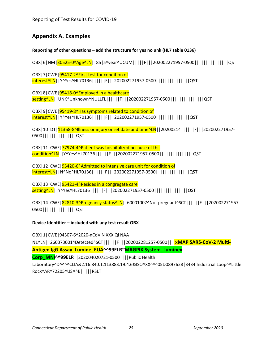## <span id="page-24-0"></span>**Appendix A. Examples**

**Reporting of other questions – add the structure for yes no unk (HL7 table 0136)**

OBX|6|NM|30525-0^Age^LN||85|a^year^UCUM|||||F|||202002271957-0500|||||||||||||||QST

OBX|7|CWE|95417-2^First test for condition of interest^LN||Y^Yes^HL70136||||||F|||202002271957-0500|||||||||||||||QST

OBX|8|CWE|95418-0^Employed in a healthcare setting^LN||UNK^Unknown^NULLFL||||||F|||202002271957-0500|||||||||||||||QST

OBX|9|CWE|95419-8^Has symptoms related to condition of interest^LN||Y^Yes^HL70136||||||F|||202002271957-0500|||||||||||||||QST

OBX|10|DT|11368-8^Illness or injury onset date and time^LN||20200214||||||F|||202002271957-0500|||||||||||||||QST

OBX|11|CWE|77974-4^Patient was hospitalized because of this condition^LN||Y^Yes^HL70136||||||F|||202002271957-0500|||||||||||||||QST

OBX|12|CWE|95420-6^Admitted to intensive care unit for condition of interest^LN||N^No^HL70136||||||F|||202002271957-0500|||||||||||||||QST

OBX|13|CWE|95421-4^Resides in a congregate care setting^LN||Y^Yes^HL70136||||||F|||202002271957-0500|||||||||||||||QST

OBX|14|CWE|82810-3^Pregnancy status^LN||60001007^Not pregnant^SCT||||||F|||202002271957-0500|||||||||||||||QST

#### **Device Identifier – included with any test result OBX**

OBX|1|CWE|94307-6^2020-nCoV N XXX Ql NAA

N1^LN||260373001^Detected^SCT||||||F|||202002281257-0500||| **xMAP SARS-CoV-2 Multi-**

**Antigen IgG Assay\_Lumine\_EUA^^99ELR~MAGPIX System\_Luminex** 

**Corp\_MNI^^99ELR**||202004020721-0500||||Public Health

Laboratory^D^^^^CLIA&2.16.840.1.113883.19.4.6&ISO^XX^^^05D0897628|3434 Industrial Loop^^Little Rock^AR^72205^USA^B|||||RSLT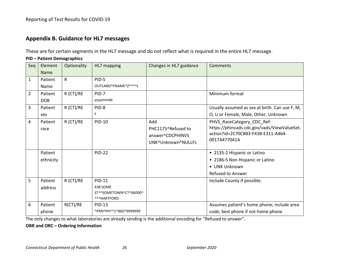## **Appendix B. Guidance for HL7 messages**

These are for certain segments in the HL7 message and do not reflect what is required in the entire HL7 message.

#### **PID – Patient Demographics**

<span id="page-25-0"></span>

| Seq          | Element     | Optionality  | HL7 mapping                                  | Changes in HL7 guidance | Comments                                       |
|--------------|-------------|--------------|----------------------------------------------|-------------------------|------------------------------------------------|
|              | <b>Name</b> |              |                                              |                         |                                                |
| $\mathbf{1}$ | Patient     | $\mathsf{R}$ | PID-5                                        |                         |                                                |
|              | Name        |              | OUTLAND^FNAME^Z^^^^L                         |                         |                                                |
| 2            | Patient     | $R$ (CT)/RE  | PID-7                                        |                         | Minimum format                                 |
|              | <b>DOB</b>  |              | yyyymmdd                                     |                         |                                                |
| 3            | Patient     | R (CT)/RE    | PID-8                                        |                         | Usually assumed as sex at birth. Can use F, M, |
|              | sex         |              | F.                                           |                         | O, U or Female, Male, Other, Unknown           |
| 4            | Patient     | $R$ (CT)/RE  | PID-10                                       | Add                     | PHVS_RaceCategory_CDC_Ref:                     |
|              | race        |              |                                              | PHC1175^Refused to      | https://phinvads.cdc.gov/vads/ViewValueSet.    |
|              |             |              |                                              | answer^CDCPHINVS        | action?id=2C70C8B3-F43B-E311-A464-             |
|              |             |              |                                              | UNK^Unknown^NULLFL      | 0017A477041A                                   |
|              |             |              |                                              |                         |                                                |
|              | Patient     |              | <b>PID-22</b>                                |                         | • 2135-2 Hispanic or Latino                    |
|              | ethnicity   |              |                                              |                         | • 2186-5 Non Hispanic or Latino                |
|              |             |              |                                              |                         | • UNK Unknown                                  |
|              |             |              |                                              |                         | <b>Refused to Answer</b>                       |
| 5            | Patient     | $R$ (CT)/RE  | <b>PID-11</b>                                |                         | Include County if possible.                    |
|              | address     |              | 438 SOME                                     |                         |                                                |
|              |             |              | ST^^SOMETOWN^CT^06000^<br><b>^^^HARTFORD</b> |                         |                                                |
| 6            | Patient     | R(CT)/RE     | <b>PID-13</b>                                |                         | Assumes patient's home phone; include area     |
|              | phone       |              | ^PRN^PH^^1^860^9999999                       |                         | code; best phone if not home phone             |

The only changes to what laboratories are already sending is the additional encoding for "Refused to answer".

#### **OBR and ORC – Ordering Information**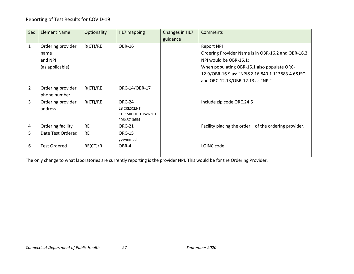| Seq            | Element Name        | Optionality | HL7 mapping        | Changes in HL7 | Comments                                                 |
|----------------|---------------------|-------------|--------------------|----------------|----------------------------------------------------------|
|                |                     |             |                    | guidance       |                                                          |
| $\mathbf{1}$   | Ordering provider   | R(CT)/RE    | <b>OBR-16</b>      |                | <b>Report NPI</b>                                        |
|                | name                |             |                    |                | Ordering Provider Name is in OBR-16.2 and OBR-16.3       |
|                | and NPI             |             |                    |                | NPI would be OBR-16.1;                                   |
|                | (as applicable)     |             |                    |                | When populating OBR-16.1 also populate ORC-              |
|                |                     |             |                    |                | 12.9/OBR-16.9 as: "NPI&2.16.840.1.113883.4.6&ISO"        |
|                |                     |             |                    |                | and ORC-12.13/OBR-12.13 as "NPI"                         |
| $\overline{2}$ | Ordering provider   | R(CT)/RE    | ORC-14/OBR-17      |                |                                                          |
|                | phone number        |             |                    |                |                                                          |
| 3              | Ordering provider   | R(CT)/RE    | ORC-24             |                | Include zip code ORC.24.5                                |
|                | address             |             | <b>28 CRESCENT</b> |                |                                                          |
|                |                     |             | ST^^MIDDLETOWN^CT  |                |                                                          |
|                |                     |             | ^06457-3654        |                |                                                          |
| $\overline{a}$ | Ordering facility   | <b>RE</b>   | <b>ORC-21</b>      |                | Facility placing the order $-$ of the ordering provider. |
| 5              | Date Test Ordered   | <b>RE</b>   | <b>ORC-15</b>      |                |                                                          |
|                |                     |             | yyyymmdd           |                |                                                          |
| 6              | <b>Test Ordered</b> | RE(CT)/R    | OBR-4              |                | LOINC code                                               |
|                |                     |             |                    |                |                                                          |

The only change to what laboratories are currently reporting is the provider NPI. This would be for the Ordering Provider.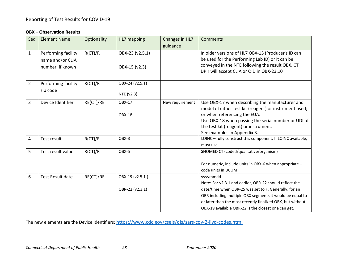#### **OBX – Observation Results**

| Seq            | <b>Element Name</b>     | Optionality | HL7 mapping      | Changes in HL7  | <b>Comments</b>                                             |
|----------------|-------------------------|-------------|------------------|-----------------|-------------------------------------------------------------|
|                |                         |             |                  | guidance        |                                                             |
| $\mathbf{1}$   | Performing facility     | R(CT)/R     | OBX-23 (v2.5.1)  |                 | In older versions of HL7 OBX-15 (Producer's ID can          |
|                | name and/or CLIA        |             |                  |                 | be used for the Performing Lab ID) or it can be             |
|                | number, if known        |             | OBX-15 (v2.3)    |                 | conveyed in the NTE following the result OBX. CT            |
|                |                         |             |                  |                 | DPH will accept CLIA or OID in OBX-23.10                    |
| $\overline{2}$ | Performing facility     | R(CT)/R     | OBX-24 (v2.5.1)  |                 |                                                             |
|                | zip code                |             |                  |                 |                                                             |
|                |                         |             | NTE (v2.3)       |                 |                                                             |
| 3              | Device Identifier       | RE(CT)/RE   | OBX-17           | New requirement | Use OBX-17 when describing the manufacturer and             |
|                |                         |             |                  |                 | model of either test kit (reagent) or instrument used;      |
|                |                         |             | <b>OBX-18</b>    |                 | or when referencing the EUA.                                |
|                |                         |             |                  |                 | Use OBX-18 when passing the serial number or UDI of         |
|                |                         |             |                  |                 | the test kit (reagent) or instrument.                       |
|                |                         |             |                  |                 | See examples in Appendix B.                                 |
| 4              | Test result             | R(CT)/R     | OBX-3            |                 | LOINC - fully construct this component. If LOINC available, |
|                |                         |             |                  |                 | must use.                                                   |
| 5              | Test result value       | R(CT)/R     | OBX-5            |                 | SNOMED CT (coded/qualitative/organism)                      |
|                |                         |             |                  |                 | For numeric, include units in OBX-6 when appropriate -      |
|                |                         |             |                  |                 | code units in UCUM                                          |
| 6              | <b>Test Result date</b> | RE(CT)/RE   | OBX-19 (v2.5.1.) |                 | yyyymmdd                                                    |
|                |                         |             |                  |                 | Note: For v2.3.1 and earlier, OBR-22 should reflect the     |
|                |                         |             | OBR-22 (v2.3.1)  |                 | date/time when OBR-25 was set to F. Generally, for an       |
|                |                         |             |                  |                 | OBR including multiple OBX segments it would be equal to    |
|                |                         |             |                  |                 | or later than the most recently finalized OBX, but without  |
|                |                         |             |                  |                 | OBX-19 available OBR-22 is the closest one can get.         |

The new elements are the Device Identifiers:<https://www.cdc.gov/csels/dls/sars-cov-2-livd-codes.html>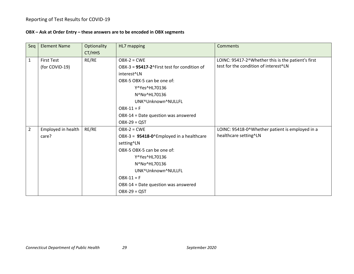#### **OBX – Ask at Order Entry – these answers are to be encoded in OBX segments**

| Seq            | <b>Element Name</b>                 | Optionality<br>CT/HHS | HL7 mapping                                                                                                                                                                                                                                          | Comments                                                                                    |
|----------------|-------------------------------------|-----------------------|------------------------------------------------------------------------------------------------------------------------------------------------------------------------------------------------------------------------------------------------------|---------------------------------------------------------------------------------------------|
| $\mathbf{1}$   | <b>First Test</b><br>(for COVID-19) | RE/RE                 | $OBX-2 = CWE$<br>OBX-3 = 95417-2^First test for condition of<br>interest^LN<br>OBX-5 OBX-5 can be one of:<br>Y^Yes^HL70136<br>N^No^HL70136<br>UNK^Unknown^NULLFL<br>$OBX-11 = F$<br>OBX-14 = Date question was answered<br>$OBX-29 = QST$            | LOINC: 95417-2^Whether this is the patient's first<br>test for the condition of interest^LN |
| $\overline{2}$ | Employed in health<br>care?         | RE/RE                 | $OBX-2 = CWE$<br>OBX-3 = $95418-0$ <sup>^</sup> Employed in a healthcare<br>setting^LN<br>OBX-5 OBX-5 can be one of:<br>Y^Yes^HL70136<br>N^No^HL70136<br>UNK^Unknown^NULLFL<br>$OBX-11 = F$<br>OBX-14 = Date question was answered<br>$OBX-29 = QST$ | LOINC: 95418-0^Whether patient is employed in a<br>healthcare setting^LN                    |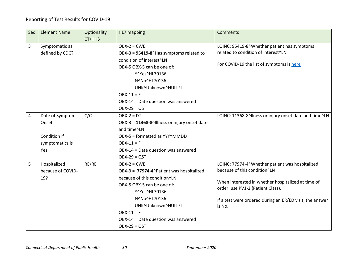| Seq | <b>Element Name</b> | Optionality | HL7 mapping                                  | <b>Comments</b>                                                                         |
|-----|---------------------|-------------|----------------------------------------------|-----------------------------------------------------------------------------------------|
|     |                     | CT/HHS      |                                              |                                                                                         |
| 3   | Symptomatic as      |             | $OBX-2 = CWE$                                | LOINC: 95419-8^Whether patient has symptoms                                             |
|     | defined by CDC?     |             | OBX-3 = 95419-8^Has symptoms related to      | related to condition of interest^LN                                                     |
|     |                     |             | condition of interest^LN                     |                                                                                         |
|     |                     |             | OBX-5 OBX-5 can be one of:                   | For COVID-19 the list of symptoms is here                                               |
|     |                     |             | Y^Yes^HL70136                                |                                                                                         |
|     |                     |             | N^No^HL70136                                 |                                                                                         |
|     |                     |             | UNK^Unknown^NULLFL                           |                                                                                         |
|     |                     |             | $OBX-11 = F$                                 |                                                                                         |
|     |                     |             | OBX-14 = Date question was answered          |                                                                                         |
|     |                     |             | $OBX-29 = QST$                               |                                                                                         |
| 4   | Date of Symptom     | C/C         | $OBX-2 = DT$                                 | LOINC: 11368-8^llness or injury onset date and time^LN                                  |
|     | Onset               |             | OBX-3 = 11368-8^Illness or injury onset date |                                                                                         |
|     |                     |             | and time^LN                                  |                                                                                         |
|     | Condition if        |             | OBX-5 = formatted as YYYYMMDD                |                                                                                         |
|     | symptomatics is     |             | $OBX-11 = F$                                 |                                                                                         |
|     | Yes                 |             | OBX-14 = Date question was answered          |                                                                                         |
|     |                     |             | $OBX-29 = QST$                               |                                                                                         |
| 5   | Hospitalized        | RE/RE       | $OBX-2 = CWE$                                | LOINC: 77974-4^Whether patient was hospitalized                                         |
|     | because of COVID-   |             | OBX-3 = 77974-4^Patient was hospitalized     | because of this condition^LN                                                            |
|     | 19?                 |             | because of this condition^LN                 |                                                                                         |
|     |                     |             | OBX-5 OBX-5 can be one of:                   | When interested in whether hospitalized at time of<br>order, use PV1-2 (Patient Class). |
|     |                     |             | Y^Yes^HL70136                                |                                                                                         |
|     |                     |             | N^No^HL70136                                 | If a test were ordered during an ER/ED visit, the answer                                |
|     |                     |             | UNK^Unknown^NULLFL                           | is No.                                                                                  |
|     |                     |             | $OBX-11 = F$                                 |                                                                                         |
|     |                     |             | OBX-14 = Date question was answered          |                                                                                         |
|     |                     |             | $OBX-29 = QST$                               |                                                                                         |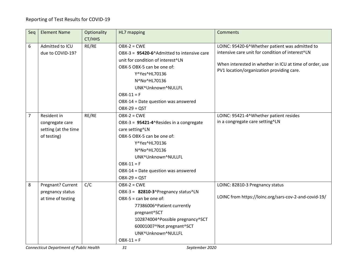| Seq            | <b>Element Name</b>  | Optionality | HL7 mapping                                | <b>Comments</b>                                                                                      |
|----------------|----------------------|-------------|--------------------------------------------|------------------------------------------------------------------------------------------------------|
|                |                      | CT/HHS      |                                            |                                                                                                      |
| 6              | Admitted to ICU      | RE/RE       | $OBX-2 = CWE$                              | LOINC: 95420-6^Whether patient was admitted to                                                       |
|                | due to COVID-19?     |             | OBX-3 = 95420-6^Admitted to intensive care | intensive care unit for condition of interest^LN                                                     |
|                |                      |             | unit for condition of interest^LN          |                                                                                                      |
|                |                      |             | OBX-5 OBX-5 can be one of:                 | When interested in whether in ICU at time of order, use<br>PV1 location/organization providing care. |
|                |                      |             | Y^Yes^HL70136                              |                                                                                                      |
|                |                      |             | N^No^HL70136                               |                                                                                                      |
|                |                      |             | UNK^Unknown^NULLFL                         |                                                                                                      |
|                |                      |             | $OBX-11 = F$                               |                                                                                                      |
|                |                      |             | OBX-14 = Date question was answered        |                                                                                                      |
|                |                      |             | $OBX-29 = QST$                             |                                                                                                      |
| $\overline{7}$ | Resident in          | RE/RE       | $OBX-2 = CWE$                              | LOINC: 95421-4^Whether patient resides                                                               |
|                | congregate care      |             | OBX-3 = 95421-4^Resides in a congregate    | in a congregate care setting^LN                                                                      |
|                | setting (at the time |             | care setting^LN                            |                                                                                                      |
|                | of testing)          |             | OBX-5 OBX-5 can be one of:                 |                                                                                                      |
|                |                      |             | Y^Yes^HL70136                              |                                                                                                      |
|                |                      |             | N^No^HL70136                               |                                                                                                      |
|                |                      |             | UNK^Unknown^NULLFL                         |                                                                                                      |
|                |                      |             | $OBX-11 = F$                               |                                                                                                      |
|                |                      |             | OBX-14 = Date question was answered        |                                                                                                      |
|                |                      |             | $OBX-29 = QST$                             |                                                                                                      |
| 8              | Pregnant? Current    | C/C         | $OBX-2 = CWE$                              | LOINC: 82810-3 Pregnancy status                                                                      |
|                | pregnancy status     |             | OBX-3 = 82810-3^Pregnancy status^LN        |                                                                                                      |
|                | at time of testing   |             | $OBX-5 = can be one of:$                   | LOINC from https://loinc.org/sars-cov-2-and-covid-19/                                                |
|                |                      |             | 77386006^Patient currently                 |                                                                                                      |
|                |                      |             | pregnant^SCT                               |                                                                                                      |
|                |                      |             | 102874004^Possible pregnancy^SCT           |                                                                                                      |
|                |                      |             | 60001007^Not pregnant^SCT                  |                                                                                                      |
|                |                      |             | UNK^Unknown^NULLFL                         |                                                                                                      |
|                |                      |             | $OBX-11 = F$                               |                                                                                                      |

*Connecticut Department of Public Health 31 September 2020*